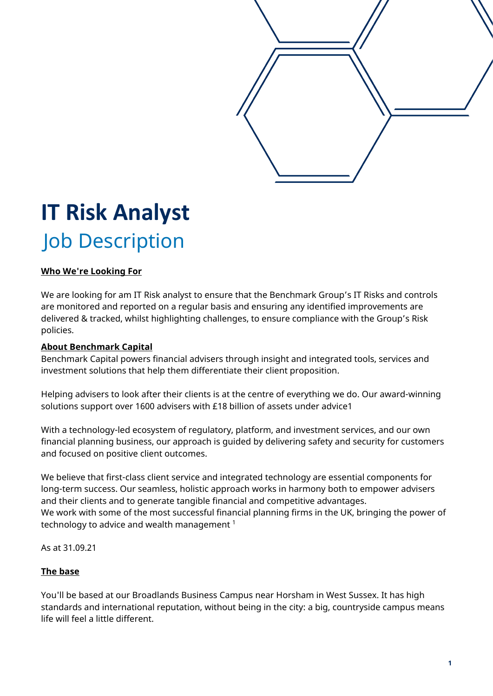

# **IT Risk Analyst** Job Description

## **Who We're Looking For**

We are looking for am IT Risk analyst to ensure that the Benchmark Group's IT Risks and controls are monitored and reported on a regular basis and ensuring any identified improvements are delivered & tracked, whilst highlighting challenges, to ensure compliance with the Group's Risk policies.

## **About Benchmark Capital**

Benchmark Capital powers financial advisers through insight and integrated tools, services and investment solutions that help them differentiate their client proposition.

Helping advisers to look after their clients is at the centre of everything we do. Our award-winning solutions support over 1600 advisers with £18 billion of assets under advice1

With a technology-led ecosystem of regulatory, platform, and investment services, and our own financial planning business, our approach is guided by delivering safety and security for customers and focused on positive client outcomes.

We believe that first-class client service and integrated technology are essential components for long-term success. Our seamless, holistic approach works in harmony both to empower advisers and their clients and to generate tangible financial and competitive advantages. We work with some of the most successful financial planning firms in the UK, bringing the power of technology to advice and wealth management  $1$ 

As at 31.09.21

## **The base**

You'll be based at our Broadlands Business Campus near Horsham in West Sussex. It has high standards and international reputation, without being in the city: a big, countryside campus means life will feel a little different.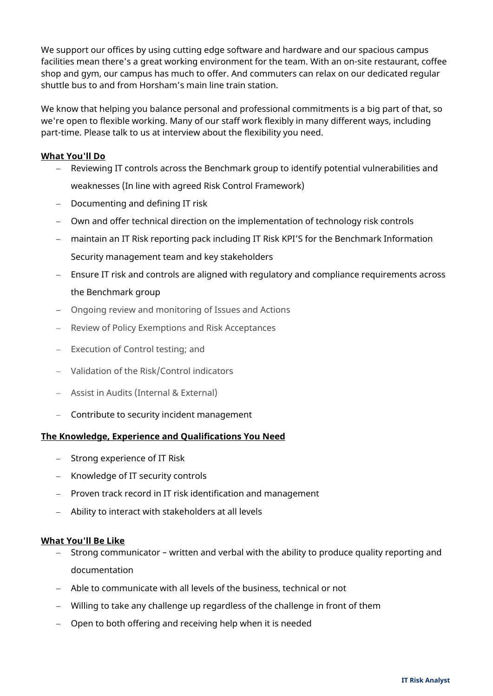We support our offices by using cutting edge software and hardware and our spacious campus facilities mean there's a great working environment for the team. With an on-site restaurant, coffee shop and gym, our campus has much to offer. And commuters can relax on our dedicated regular shuttle bus to and from Horsham's main line train station.

We know that helping you balance personal and professional commitments is a big part of that, so we're open to flexible working. Many of our staff work flexibly in many different ways, including part-time. Please talk to us at interview about the flexibility you need.

## **What You'll Do**

- − Reviewing IT controls across the Benchmark group to identify potential vulnerabilities and weaknesses (In line with agreed Risk Control Framework)
- − Documenting and defining IT risk
- − Own and offer technical direction on the implementation of technology risk controls
- − maintain an IT Risk reporting pack including IT Risk KPI'S for the Benchmark Information Security management team and key stakeholders
- − Ensure IT risk and controls are aligned with regulatory and compliance requirements across the Benchmark group
- − Ongoing review and monitoring of Issues and Actions
- − Review of Policy Exemptions and Risk Acceptances
- − Execution of Control testing; and
- − Validation of the Risk/Control indicators
- − Assist in Audits (Internal & External)
- − Contribute to security incident management

## **The Knowledge, Experience and Qualifications You Need**

- − Strong experience of IT Risk
- − Knowledge of IT security controls
- − Proven track record in IT risk identification and management
- − Ability to interact with stakeholders at all levels

## **What You'll Be Like**

- − Strong communicator written and verbal with the ability to produce quality reporting and documentation
- − Able to communicate with all levels of the business, technical or not
- − Willing to take any challenge up regardless of the challenge in front of them
- − Open to both offering and receiving help when it is needed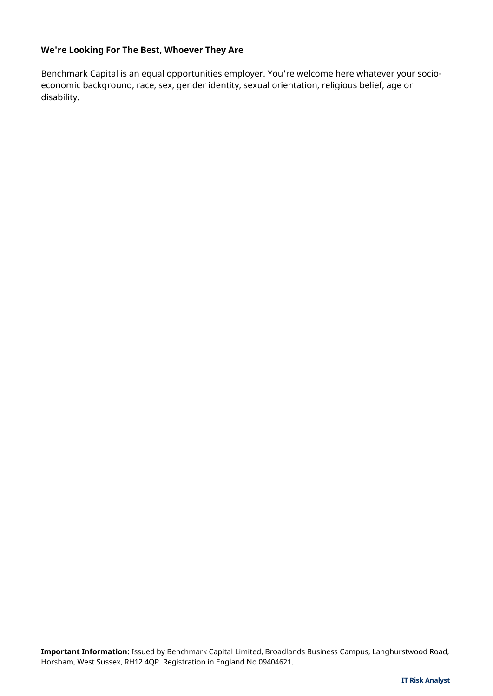## **We're Looking For The Best, Whoever They Are**

Benchmark Capital is an equal opportunities employer. You're welcome here whatever your socioeconomic background, race, sex, gender identity, sexual orientation, religious belief, age or disability.

**Important Information:** Issued by Benchmark Capital Limited, Broadlands Business Campus, Langhurstwood Road, Horsham, West Sussex, RH12 4QP. Registration in England No 09404621.